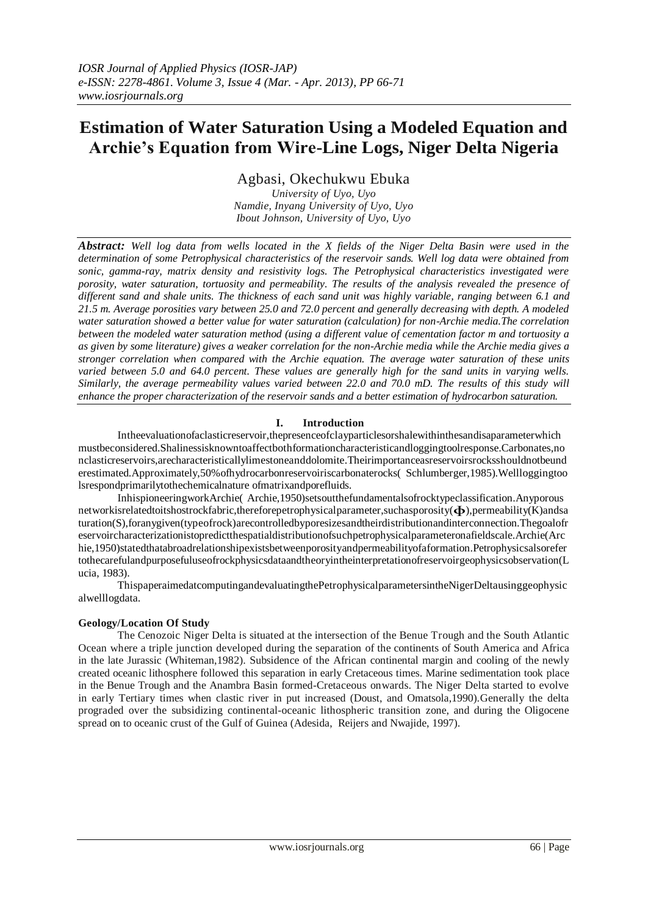# **Estimation of Water Saturation Using a Modeled Equation and Archie's Equation from Wire-Line Logs, Niger Delta Nigeria**

Agbasi, Okechukwu Ebuka

*University of Uyo, Uyo Namdie, Inyang University of Uyo, Uyo Ibout Johnson, University of Uyo, Uyo*

*Abstract: Well log data from wells located in the X fields of the Niger Delta Basin were used in the determination of some Petrophysical characteristics of the reservoir sands. Well log data were obtained from sonic, gamma-ray, matrix density and resistivity logs. The Petrophysical characteristics investigated were porosity, water saturation, tortuosity and permeability. The results of the analysis revealed the presence of different sand and shale units. The thickness of each sand unit was highly variable, ranging between 6.1 and 21.5 m. Average porosities vary between 25.0 and 72.0 percent and generally decreasing with depth. A modeled water saturation showed a better value for water saturation (calculation) for non-Archie media.The correlation between the modeled water saturation method (using a different value of cementation factor m and tortuosity a as given by some literature) gives a weaker correlation for the non-Archie media while the Archie media gives a stronger correlation when compared with the Archie equation. The average water saturation of these units varied between 5.0 and 64.0 percent. These values are generally high for the sand units in varying wells. Similarly, the average permeability values varied between 22.0 and 70.0 mD. The results of this study will enhance the proper characterization of the reservoir sands and a better estimation of hydrocarbon saturation.*

## **I. Introduction**

Intheevaluationofaclasticreservoir,thepresenceofclayparticlesorshalewithinthesandisaparameterwhich mustbeconsidered.Shalinessisknowntoaffectbothformationcharacteristicandloggingtoolresponse.Carbonates,no nclasticreservoirs,arecharacteristicallylimestoneanddolomite.Theirimportanceasreservoirsrocksshouldnotbeund erestimated.Approximately,50%ofhydrocarbonreservoiriscarbonaterocks( Schlumberger,1985).Wellloggingtoo lsrespondprimarilytothechemicalnature ofmatrixandporefluids.

InhispioneeringworkArchie( Archie,1950)setsoutthefundamentalsofrocktypeclassification.Anyporous networkisrelatedtoitshostrockfabric,thereforepetrophysicalparameter,suchasporosity(ɸ),permeability(K)andsa turation(S),foranygiven(typeofrock)arecontrolledbyporesizesandtheirdistributionandinterconnection.Thegoalofr eservoircharacterizationistopredictthespatialdistributionofsuchpetrophysicalparameteronafieldscale.Archie(Arc hie,1950)statedthatabroadrelationshipexistsbetweenporosityandpermeabilityofaformation.Petrophysicsalsorefer tothecarefulandpurposefuluseofrockphysicsdataandtheoryintheinterpretationofreservoirgeophysicsobservation(L ucia, 1983).

ThispaperaimedatcomputingandevaluatingthePetrophysicalparametersintheNigerDeltausinggeophysic alwelllogdata.

## **Geology/Location Of Study**

The Cenozoic Niger Delta is situated at the intersection of the Benue Trough and the South Atlantic Ocean where a triple junction developed during the separation of the continents of South America and Africa in the late Jurassic (Whiteman,1982). Subsidence of the African continental margin and cooling of the newly created oceanic lithosphere followed this separation in early Cretaceous times. Marine sedimentation took place in the Benue Trough and the Anambra Basin formed-Cretaceous onwards. The Niger Delta started to evolve in early Tertiary times when clastic river in put increased (Doust, and Omatsola,1990).Generally the delta prograded over the subsidizing continental-oceanic lithospheric transition zone, and during the Oligocene spread on to oceanic crust of the Gulf of Guinea (Adesida, Reijers and Nwajide, 1997).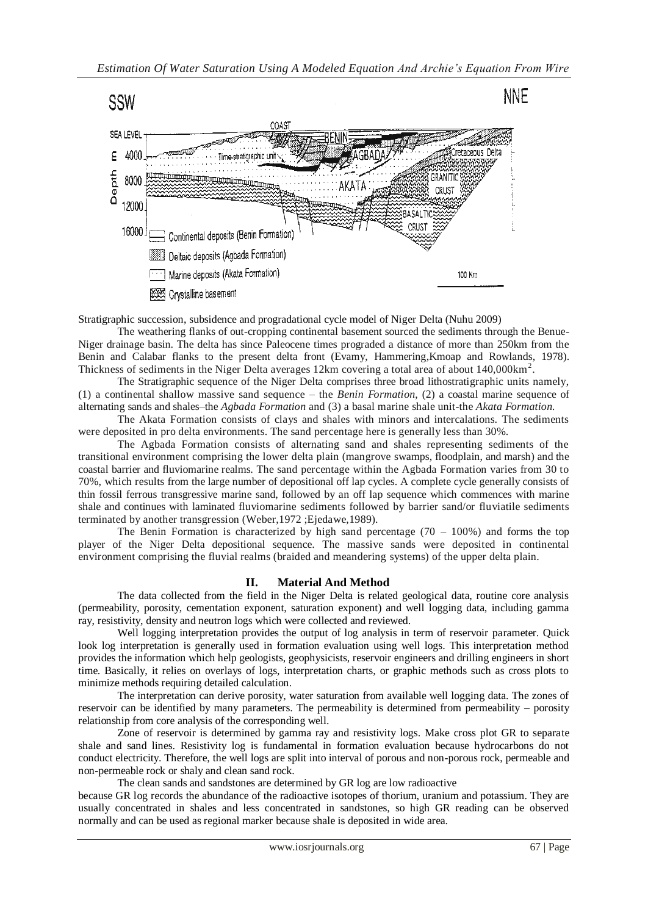

Stratigraphic succession, subsidence and progradational cycle model of Niger Delta (Nuhu 2009)

The weathering flanks of out-cropping continental basement sourced the sediments through the Benue-Niger drainage basin. The delta has since Paleocene times prograded a distance of more than 250km from the Benin and Calabar flanks to the present delta front (Evamy, Hammering,Kmoap and Rowlands, 1978). Thickness of sediments in the Niger Delta averages 12km covering a total area of about 140,000km<sup>2</sup>.

The Stratigraphic sequence of the Niger Delta comprises three broad lithostratigraphic units namely, (1) a continental shallow massive sand sequence – the *Benin Formation*, (2) a coastal marine sequence of alternating sands and shales–the *Agbada Formation* and (3) a basal marine shale unit-the *Akata Formation.*

The Akata Formation consists of clays and shales with minors and intercalations. The sediments were deposited in pro delta environments. The sand percentage here is generally less than 30%.

The Agbada Formation consists of alternating sand and shales representing sediments of the transitional environment comprising the lower delta plain (mangrove swamps, floodplain, and marsh) and the coastal barrier and fluviomarine realms. The sand percentage within the Agbada Formation varies from 30 to 70%, which results from the large number of depositional off lap cycles. A complete cycle generally consists of thin fossil ferrous transgressive marine sand, followed by an off lap sequence which commences with marine shale and continues with laminated fluviomarine sediments followed by barrier sand/or fluviatile sediments terminated by another transgression (Weber,1972 ;Ejedawe,1989).

The Benin Formation is characterized by high sand percentage  $(70 - 100\%)$  and forms the top player of the Niger Delta depositional sequence. The massive sands were deposited in continental environment comprising the fluvial realms (braided and meandering systems) of the upper delta plain.

## **II. Material And Method**

The data collected from the field in the Niger Delta is related geological data, routine core analysis (permeability, porosity, cementation exponent, saturation exponent) and well logging data, including gamma ray, resistivity, density and neutron logs which were collected and reviewed.

Well logging interpretation provides the output of log analysis in term of reservoir parameter. Quick look log interpretation is generally used in formation evaluation using well logs. This interpretation method provides the information which help geologists, geophysicists, reservoir engineers and drilling engineers in short time. Basically, it relies on overlays of logs, interpretation charts, or graphic methods such as cross plots to minimize methods requiring detailed calculation.

The interpretation can derive porosity, water saturation from available well logging data. The zones of reservoir can be identified by many parameters. The permeability is determined from permeability – porosity relationship from core analysis of the corresponding well.

Zone of reservoir is determined by gamma ray and resistivity logs. Make cross plot GR to separate shale and sand lines. Resistivity log is fundamental in formation evaluation because hydrocarbons do not conduct electricity. Therefore, the well logs are split into interval of porous and non-porous rock, permeable and non-permeable rock or shaly and clean sand rock.

The clean sands and sandstones are determined by GR log are low radioactive

because GR log records the abundance of the radioactive isotopes of thorium, uranium and potassium. They are usually concentrated in shales and less concentrated in sandstones, so high GR reading can be observed normally and can be used as regional marker because shale is deposited in wide area.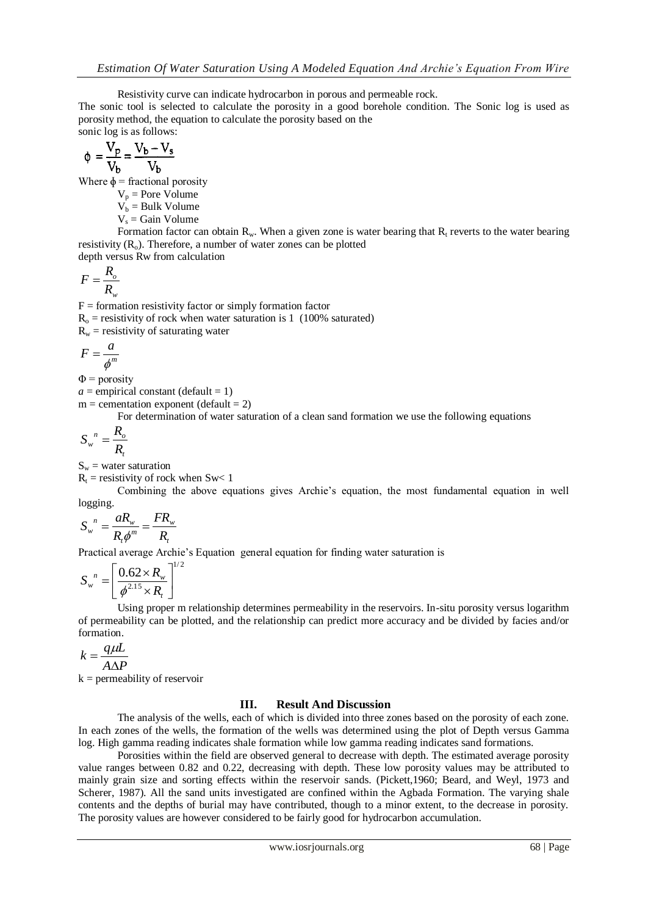Resistivity curve can indicate hydrocarbon in porous and permeable rock.

The sonic tool is selected to calculate the porosity in a good borehole condition. The Sonic log is used as porosity method, the equation to calculate the porosity based on the sonic log is as follows:

$$
\phi = \frac{\overline{V_p}}{V_b} = \frac{V_b - V_s}{V_b}
$$

Where  $\phi$  = fractional porosity

 $V_p$  = Pore Volume

 $V_b$  = Bulk Volume

 $V_s$  = Gain Volume

Formation factor can obtain  $R_w$ . When a given zone is water bearing that  $R_t$  reverts to the water bearing resistivity  $(R<sub>o</sub>)$ . Therefore, a number of water zones can be plotted

depth versus Rw from calculation

$$
F = \frac{R_o}{R_w}
$$

 $F =$  formation resistivity factor or simply formation factor  $R<sub>o</sub>$  = resistivity of rock when water saturation is 1 (100% saturated)  $R_w$  = resistivity of saturating water

$$
F=\frac{a}{\phi^m}
$$

 $\Phi$  = porosity

 $a =$  empirical constant (default = 1)

 $m =$  cementation exponent (default = 2)

For determination of water saturation of a clean sand formation we use the following equations

$$
S_w^{\ n} = \frac{R_o}{R_t}
$$

 $S_w$  = water saturation

 $R_t$  = resistivity of rock when Sw< 1

Combining the above equations gives Archie's equation, the most fundamental equation in well logging.

$$
S_w^{\ n} = \frac{aR_w}{R_t \phi^m} = \frac{FR_w}{R_t}
$$

Practical average Archie's Equation general equation for finding water saturation is

$$
S_w^{\ n} = \left[ \frac{0.62 \times R_w}{\phi^{2.15} \times R_t} \right]^{1/2}
$$

Using proper m relationship determines permeability in the reservoirs. In-situ porosity versus logarithm of permeability can be plotted, and the relationship can predict more accuracy and be divided by facies and/or formation.

$$
k = \frac{q\mu L}{A\Delta P}
$$

 $k =$  permeability of reservoir

#### **III. Result And Discussion**

The analysis of the wells, each of which is divided into three zones based on the porosity of each zone. In each zones of the wells, the formation of the wells was determined using the plot of Depth versus Gamma log. High gamma reading indicates shale formation while low gamma reading indicates sand formations.

Porosities within the field are observed general to decrease with depth. The estimated average porosity value ranges between 0.82 and 0.22, decreasing with depth. These low porosity values may be attributed to mainly grain size and sorting effects within the reservoir sands. (Pickett,1960; Beard, and Weyl, 1973 and Scherer, 1987). All the sand units investigated are confined within the Agbada Formation. The varying shale contents and the depths of burial may have contributed, though to a minor extent, to the decrease in porosity. The porosity values are however considered to be fairly good for hydrocarbon accumulation.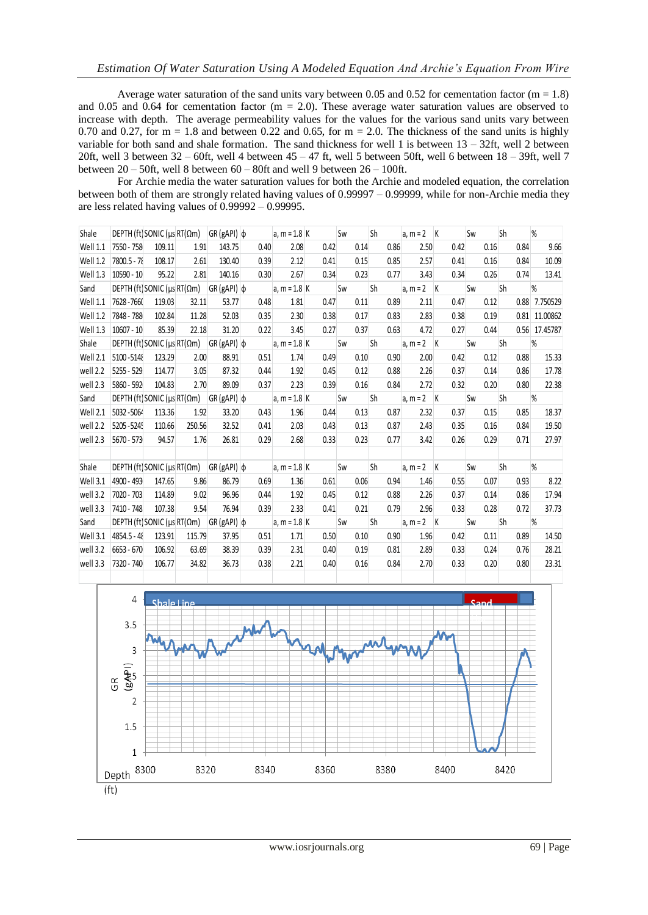Average water saturation of the sand units vary between 0.05 and 0.52 for cementation factor ( $m = 1.8$ ) and 0.05 and 0.64 for cementation factor ( $m = 2.0$ ). These average water saturation values are observed to increase with depth. The average permeability values for the values for the various sand units vary between 0.70 and 0.27, for  $m = 1.8$  and between 0.22 and 0.65, for  $m = 2.0$ . The thickness of the sand units is highly variable for both sand and shale formation. The sand thickness for well 1 is between 13 – 32ft, well 2 between 20ft, well 3 between 32 – 60ft, well 4 between 45 – 47 ft, well 5 between 50ft, well 6 between 18 – 39ft, well 7 between 20 – 50ft, well 8 between 60 – 80ft and well 9 between 26 – 100ft.

For Archie media the water saturation values for both the Archie and modeled equation, the correlation between both of them are strongly related having values of 0.99997 – 0.99999, while for non-Archie media they are less related having values of 0.99992 – 0.99995.

| Shale    | DEPTH (ft) SONIC ( $\mu s$ RT( $\Omega$ m) |        |        | $ GR(gAPI) \phi$  |      | $a, m = 1.8$ K |      | Sw   | Sh        | a, $m = 2$ K   |      | Sw   | <b>Sh</b> | %             |
|----------|--------------------------------------------|--------|--------|-------------------|------|----------------|------|------|-----------|----------------|------|------|-----------|---------------|
| Well 1.1 | 7550 - 758                                 | 109.11 | 1.91   | 143.75            | 0.40 | 2.08           | 0.42 | 0.14 | 0.86      | 2.50           | 0.42 | 0.16 | 0.84      | 9.66          |
| Well 1.2 | 7800.5 - 78                                | 108.17 | 2.61   | 130.40            | 0.39 | 2.12           | 0.41 | 0.15 | 0.85      | 2.57           | 0.41 | 0.16 | 0.84      | 10.09         |
| Well 1.3 | $10590 - 10$                               | 95.22  | 2.81   | 140.16            | 0.30 | 2.67           | 0.34 | 0.23 | 0.77      | 3.43           | 0.34 | 0.26 | 0.74      | 13.41         |
| Sand     | DEPTH (ft) SONIC ( $\mu$ s RT( $\Omega$ m) |        |        | $GR(gAPI)$ $\phi$ |      | a, $m = 1.8$ K |      | Sw   | <b>Sh</b> | a, $m = 2$ K   |      | Sw   | <b>Sh</b> | %             |
| Well 1.1 | 7628 - 7660                                | 119.03 | 32.11  | 53.77             | 0.48 | 1.81           | 0.47 | 0.11 | 0.89      | 2.11           | 0.47 | 0.12 |           | 0.88 7.750529 |
| Well 1.2 | 7848 - 788                                 | 102.84 | 11.28  | 52.03             | 0.35 | 2.30           | 0.38 | 0.17 | 0.83      | 2.83           | 0.38 | 0.19 |           | 0.81 11.00862 |
| Well 1.3 | $10607 - 10$                               | 85.39  | 22.18  | 31.20             | 0.22 | 3.45           | 0.27 | 0.37 | 0.63      | 4.72           | 0.27 | 0.44 |           | 0.56 17.45787 |
| Shale    | DEPTH (ft) SONIC ( $\mu s$ RT( $\Omega$ m) |        |        | $ GR(gAPI) \phi$  |      | $a, m = 1.8$ K |      | Sw   | <b>Sh</b> | $a, m = 2$   K |      | Sw   | <b>Sh</b> | %             |
| Well 2.1 | 5100-5148                                  | 123.29 | 2.00   | 88.91             | 0.51 | 1.74           | 0.49 | 0.10 | 0.90      | 2.00           | 0.42 | 0.12 | 0.88      | 15.33         |
| well 2.2 | 5255 - 529                                 | 114.77 | 3.05   | 87.32             | 0.44 | 1.92           | 0.45 | 0.12 | 0.88      | 2.26           | 0.37 | 0.14 | 0.86      | 17.78         |
| well 2.3 | 5860 - 592                                 | 104.83 | 2.70   | 89.09             | 0.37 | 2.23           | 0.39 | 0.16 | 0.84      | 2.72           | 0.32 | 0.20 | 0.80      | 22.38         |
| Sand     | DEPTH (ft) SONIC ( $\mu$ s RT( $\Omega$ m) |        |        | $GR(gAPI)$ $\phi$ |      | $a, m = 1.8$ K |      | Sw   | <b>Sh</b> | $a, m = 2$   K |      | Sw   | <b>Sh</b> | %             |
| Well 2.1 | 5032-5064                                  | 113.36 | 1.92   | 33.20             | 0.43 | 1.96           | 0.44 | 0.13 | 0.87      | 2.32           | 0.37 | 0.15 | 0.85      | 18.37         |
| well 2.2 | 5205 - 5245                                | 110.66 | 250.56 | 32.52             | 0.41 | 2.03           | 0.43 | 0.13 | 0.87      | 2.43           | 0.35 | 0.16 | 0.84      | 19.50         |
| well 2.3 | 5670 - 573                                 | 94.57  | 1.76   | 26.81             | 0.29 | 2.68           | 0.33 | 0.23 | 0.77      | 3.42           | 0.26 | 0.29 | 0.71      | 27.97         |
|          |                                            |        |        |                   |      |                |      |      |           |                |      |      |           |               |
| Shale    | DEPTH (ft) SONIC ( $\mu$ s RT( $\Omega$ m) |        |        | $GR(gAPI)$ $\phi$ |      | $a, m = 1.8$ K |      | Sw   | Sh        | $a, m = 2$ K   |      | Sw   | <b>Sh</b> | %             |
| Well 3.1 | 4900 - 493                                 | 147.65 | 9.86   | 86.79             | 0.69 | 1.36           | 0.61 | 0.06 | 0.94      | 1.46           | 0.55 | 0.07 | 0.93      | 8.22          |
| well 3.2 | 7020 - 703                                 | 114.89 | 9.02   | 96.96             | 0.44 | 1.92           | 0.45 | 0.12 | 0.88      | 2.26           | 0.37 | 0.14 | 0.86      | 17.94         |
| well 3.3 | 7410 - 748                                 | 107.38 | 9.54   | 76.94             | 0.39 | 2.33           | 0.41 | 0.21 | 0.79      | 2.96           | 0.33 | 0.28 | 0.72      | 37.73         |
| Sand     | DEPTH (ft) SONIC ( $\mu s$ RT( $\Omega$ m) |        |        | $ GR(gAPI) \phi$  |      | a, $m = 1.8$ K |      | Sw   | Sh        | $a, m = 2$   K |      | Sw   | Sh        | %             |
| Well 3.1 | 4854.5 - 48                                | 123.91 | 115.79 | 37.95             | 0.51 | 1.71           | 0.50 | 0.10 | 0.90      | 1.96           | 0.42 | 0.11 | 0.89      | 14.50         |
| well 3.2 | $6653 - 670$                               | 106.92 | 63.69  | 38.39             | 0.39 | 2.31           | 0.40 | 0.19 | 0.81      | 2.89           | 0.33 | 0.24 | 0.76      | 28.21         |
| well 3.3 | 7320 - 740                                 | 106.77 | 34.82  | 36.73             | 0.38 | 2.21           | 0.40 | 0.16 | 0.84      | 2.70           | 0.33 | 0.20 | 0.80      | 23.31         |
|          |                                            |        |        |                   |      |                |      |      |           |                |      |      |           |               |

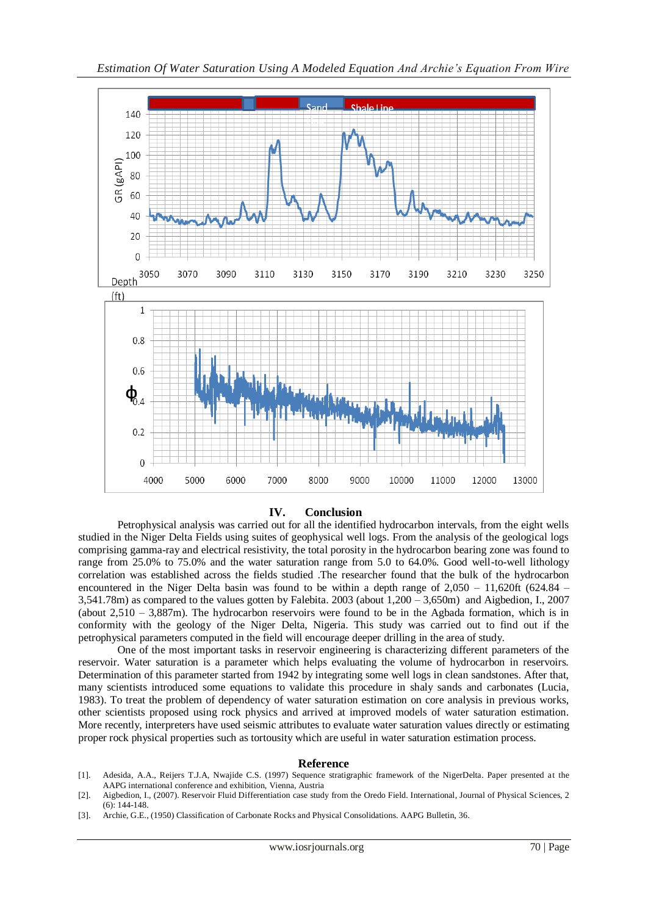

**IV. Conclusion**

Petrophysical analysis was carried out for all the identified hydrocarbon intervals, from the eight wells studied in the Niger Delta Fields using suites of geophysical well logs. From the analysis of the geological logs comprising gamma-ray and electrical resistivity, the total porosity in the hydrocarbon bearing zone was found to range from 25.0% to 75.0% and the water saturation range from 5.0 to 64.0%. Good well-to-well lithology correlation was established across the fields studied .The researcher found that the bulk of the hydrocarbon encountered in the Niger Delta basin was found to be within a depth range of  $2,050 - 11,620$ ft (624.84 – 3,541.78m) as compared to the values gotten by Falebita. 2003 (about 1,200 – 3,650m) and Aigbedion, I., 2007 (about 2,510 – 3,887m). The hydrocarbon reservoirs were found to be in the Agbada formation, which is in conformity with the geology of the Niger Delta, Nigeria. This study was carried out to find out if the petrophysical parameters computed in the field will encourage deeper drilling in the area of study.

One of the most important tasks in reservoir engineering is characterizing different parameters of the reservoir. Water saturation is a parameter which helps evaluating the volume of hydrocarbon in reservoirs. Determination of this parameter started from 1942 by integrating some well logs in clean sandstones. After that, many scientists introduced some equations to validate this procedure in shaly sands and carbonates (Lucia, 1983). To treat the problem of dependency of water saturation estimation on core analysis in previous works, other scientists proposed using rock physics and arrived at improved models of water saturation estimation. More recently, interpreters have used seismic attributes to evaluate water saturation values directly or estimating proper rock physical properties such as tortousity which are useful in water saturation estimation process.

#### **Reference**

- [1]. Adesida, A.A., Reijers T.J.A, Nwajide C.S. (1997) Sequence stratigraphic framework of the NigerDelta. Paper presented at the AAPG international conference and exhibition, Vienna, Austria
- [2]. Aigbedion, I., (2007). Reservoir Fluid Differentiation case study from the Oredo Field. International, Journal of Physical Sciences, 2 (6): 144-148.
- [3]. Archie, G.E., (1950) Classification of Carbonate Rocks and Physical Consolidations. AAPG Bulletin, 36.